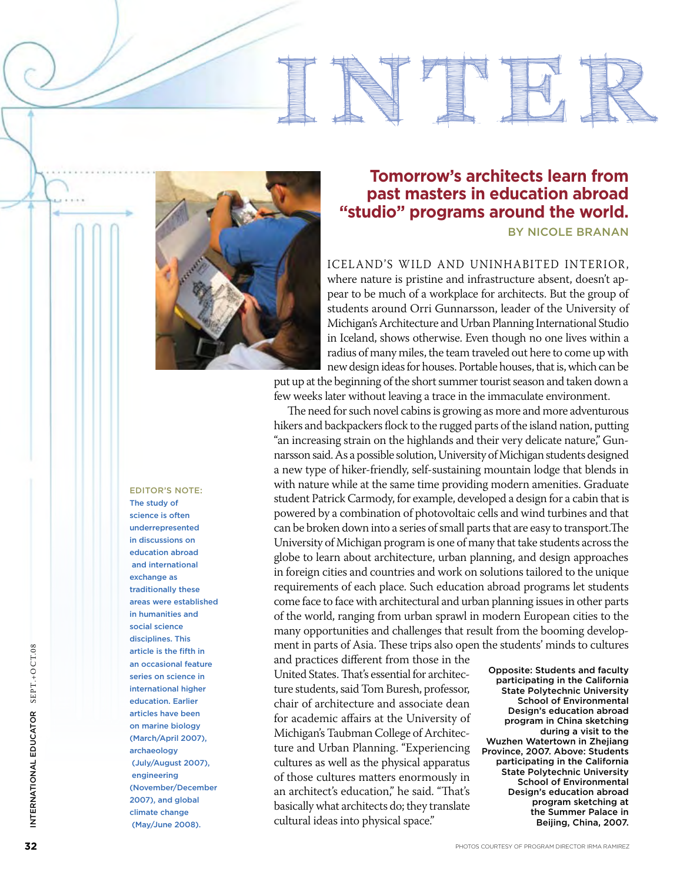

## **past masters in education abroad "studio" programs around the world.**

**BY NICOLE BRA** 

**inter national**

Iceland s wild and uninhabited inte rior , ' where nature is pristine and infrastructure absent, doesn't ap pear to be much of a workplace for architects. But the group of students around Orri Gunnarsson, leader of the University of Michigan's Architecture and Urban Planning International Studio in Iceland, shows otherwise. Even though no one lives within a radius of many miles, the team traveled out here to come up with new design ideas for houses. Portable houses, that is, which can be

put up at the beginning of the short summer tourist season and taken down a few weeks later without leaving a trace in the immaculate environment.

The need for such novel cabins is growing as more and more adventurous hikers and backpackers flock to the rugged parts of the island nation, putting "an increasing strain on the highlands and their very delicate nature," Gunnarsson said. As a possible solution, University of Michigan students designed a new type of hiker-friendly, self-sustaining mountain lodge that blends in with nature while at the same time providing modern amenities. Graduate student Patrick Carmody, for example, developed a design for a cabin that is powered by a combination of photovoltaic cells and wind turbines and that can be broken down into a series of small parts that are easy to transport.The University of Michigan program is one of many that take students across the globe to learn about architecture, urban planning, and design approaches in foreign cities and countries and work on solutions tailored to the unique requirements of each place. Such education abroad programs let students come face to face with architectural and urban planning issues in other parts of the world, ranging from urban sprawl in modern European cities to the many opportunities and challenges that result from the booming develop ment in parts of Asia. These trips also open the students' minds to cultures **Tomorrow's architects learn from past masters in education abroad in the search and the world.**<br> **Evaluation abroad in the search doesn't and the search of a search of a search of a search of a search of a search of a sea** 

and practices different from those in the United States. That's essential for architec ture students, said Tom Buresh, professor, chair of architecture and associate dean for academic affairs at the University of Michigan's Taubman College of Architec ture and Urban Planning. "Experiencing cultures as well as the physical apparatus of those cultures matters enormously in an architect's education," he said. "That's basically what architects do; they translate<br>cultural ideas into physical space."

Opposite: Students and faculty participating in the California State Polytechnic University School of Environmental Design's education abroad program in China sketching during a visit to the Wuzhen Watertown in Zhejiang Province, 2007. Above: Students participating in the California State Polytechnic University School of Environmental Design's education abroad program sketching at the Summer Palace in Beijing, China, 2007.

### EDITOR'S NOTE:<br>The study of

science is often underrepresented in discussions on education abroad and international exchange as traditionally these areas were established in humanities and social science disciplines. This article is the fifth in an occasional feature series on science in international higher education. Earlier articles have been on marine biology (March/April 2007), archaeology (July/August 2007), engineering (November/ December 2007), and global climate change (May/June 2008).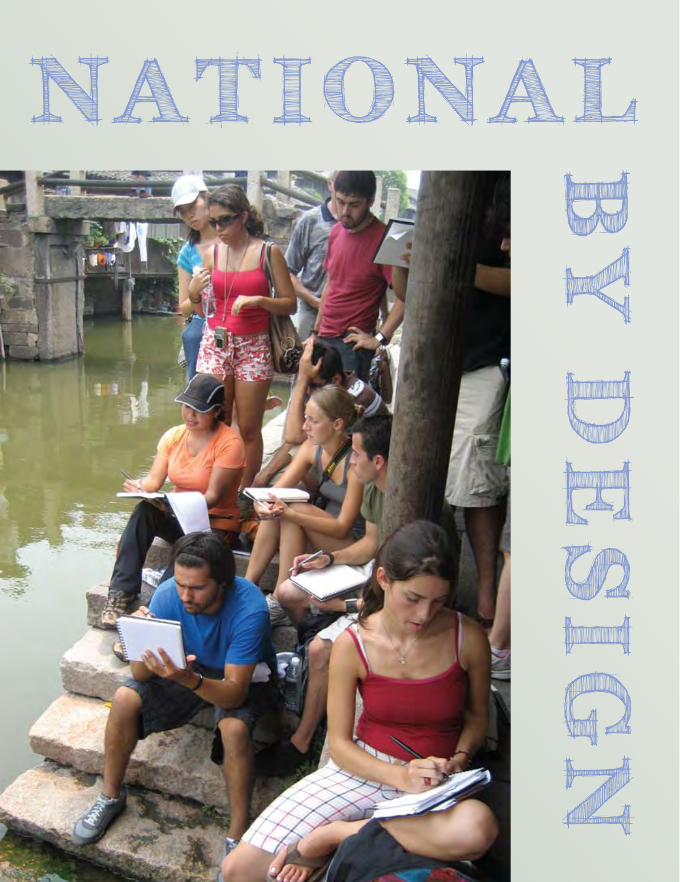# NATIONAL













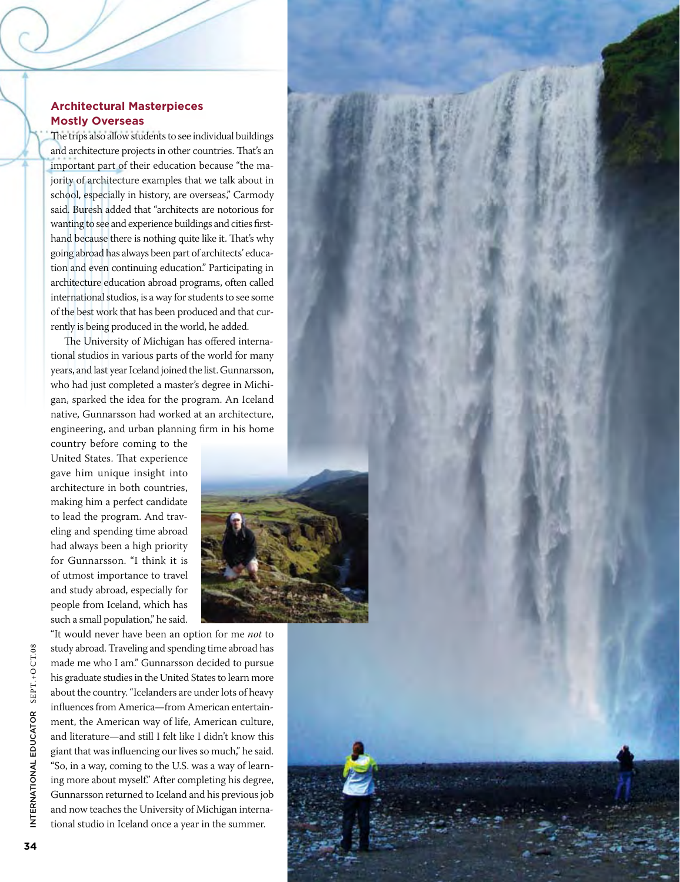#### **Architectural Masterpieces Mostly Overseas**

The trips also allow students to see individual buildings and architecture projects in other countries. That's an important part of their education because "the majority of architecture examples that we talk about in school, especially in history, are overseas," Carmody said. Buresh added that "architects are notorious for wanting to see and experience buildings and cities firsthand because there is nothing quite like it. That's why going abroad has always been part of architects' education and even continuing education." Participating in architecture education abroad programs, often called international studios, is a way for students to see some of the best work that has been produced and that currently is being produced in the world, he added.

The University of Michigan has offered international studios in various parts of the world for many years, and last year Iceland joined the list. Gunnarsson, who had just completed a master's degree in Michigan, sparked the idea for the program. An Iceland native, Gunnarsson had worked at an architecture, engineering, and urban planning firm in his home

country before coming to the United States. That experience gave him unique insight into architecture in both countries, making him a perfect candidate to lead the program. And traveling and spending time abroad had always been a high priority for Gunnarsson. "I think it is of utmost importance to travel and study abroad, especially for people from Iceland, which has such a small population," he said.



"It would never have been an option for me *not* to study abroad. Traveling and spending time abroad has made me who I am." Gunnarsson decided to pursue his graduate studies in the United States to learn more about the country. "Icelanders are under lots of heavy influences from America—from American entertainment, the American way of life, American culture, and literature—and still I felt like I didn't know this giant that was influencing our lives so much," he said. "So, in a way, coming to the U.S. was a way of learning more about myself." After completing his degree, Gunnarsson returned to Iceland and his previous job and now teaches the University of Michigan international studio in Iceland once a year in the summer.

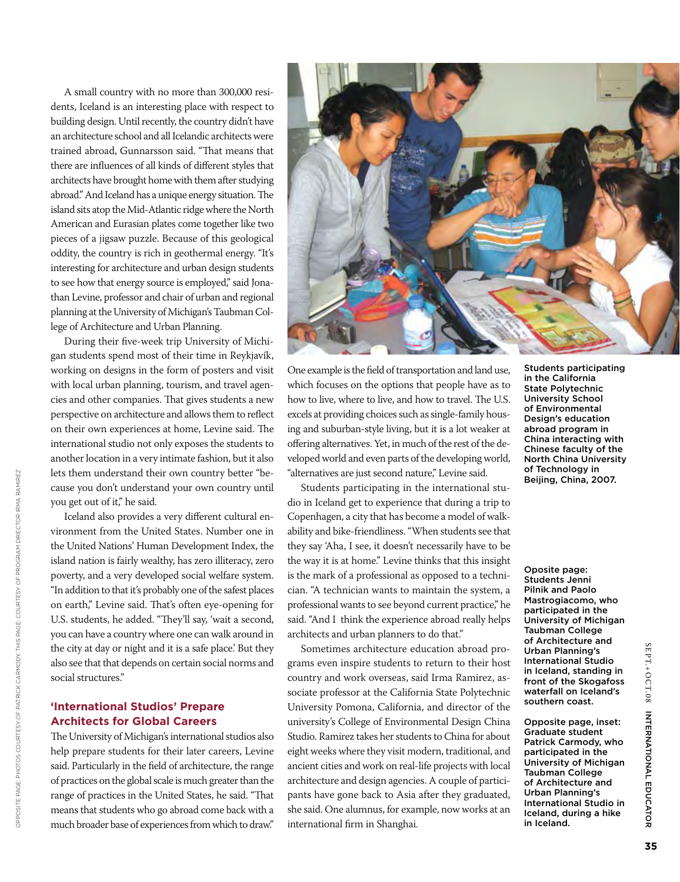A small country with no more than 300,000 residents, Iceland is an interesting place with respect to building design. Until recently, the country didn't have an architecture school and all Icelandic architects were trained abroad, Gunnarsson said. "That means that there are influences of all kinds of different styles that architects have brought home with them after studying abroad." And Iceland has a unique energy situation. The island sits atop the Mid-Atlantic ridge where the North American and Eurasian plates come together like two pieces of a jigsaw puzzle. Because of this geological oddity, the country is rich in geothermal energy. "It's interesting for architecture and urban design students to see how that energy source is employed," said Jonathan Levine, professor and chair of urban and regional planning at the University of Michigan's Taubman College of Architecture and Urban Planning.

During their five-week trip University of Michigan students spend most of their time in Reykjavík, working on designs in the form of posters and visit with local urban planning, tourism, and travel agencies and other companies. That gives students a new perspective on architecture and allows them to reflect on their own experiences at home, Levine said. The international studio not only exposes the students to another location in a very intimate fashion, but it also lets them understand their own country better "because you don't understand your own country until you get out of it," he said.

Iceland also provides a very different cultural environment from the United States. Number one in the United Nations' Human Development Index, the island nation is fairly wealthy, has zero illiteracy, zero poverty, and a very developed social welfare system. "In addition to that it's probably one of the safest places on earth," Levine said. That's often eye-opening for U.S. students, he added. "They'll say, 'wait a second, you can have a country where one can walk around in the city at day or night and it is a safe place.' But they also see that that depends on certain social norms and social structures."

#### **'International Studios' Prepare Architects for Global Careers**

The University of Michigan's international studios also help prepare students for their later careers, Levine said. Particularly in the field of architecture, the range of practices on the global scale is much greater than the range of practices in the United States, he said. "That means that students who go abroad come back with a much broader base of experiences from which to draw."



One example is the field of transportation and land use, which focuses on the options that people have as to how to live, where to live, and how to travel. The U.S. excels at providing choices such as single-family housing and suburban-style living, but it is a lot weaker at offering alternatives. Yet, in much of the rest of the developed world and even parts of the developing world, "alternatives are just second nature," Levine said.

Students participating in the international studio in Iceland get to experience that during a trip to Copenhagen, a city that has become a model of walkability and bike-friendliness. "When students see that they say 'Aha, I see, it doesn't necessarily have to be the way it is at home." Levine thinks that this insight is the mark of a professional as opposed to a technician. "A technician wants to maintain the system, a professional wants to see beyond current practice," he said. "And I think the experience abroad really helps architects and urban planners to do that."

Sometimes architecture education abroad programs even inspire students to return to their host country and work overseas, said Irma Ramirez, associate professor at the California State Polytechnic University Pomona, California, and director of the university's College of Environmental Design China Studio. Ramirez takes her students to China for about eight weeks where they visit modern, traditional, and ancient cities and work on real-life projects with local architecture and design agencies. A couple of participants have gone back to Asia after they graduated, she said. One alumnus, for example, now works at an international firm in Shanghai.

Students participating in the California State Polytechnic University School of Environmental Design's education abroad program in China interacting with Chinese faculty of the North China University of Technology in Beijing, China, 2007.

Oposite page: Students Jenni Pilnik and Paolo Mastrogiacomo, who participated in the University of Michigan Taubman College of Architecture and Urban Planning's International Studio in Iceland, standing in front of the Skogafoss waterfall on Iceland's southern coast.

Opposite page, inset: Graduate student Patrick Carmody, who participated in the University of Michigan Taubman College of Architecture and Urban Planning's International Studio in Iceland, during a hike in Iceland.

SEPT.+OSEPT.+OCT.08

INTERNATIONAL

EDUC

ator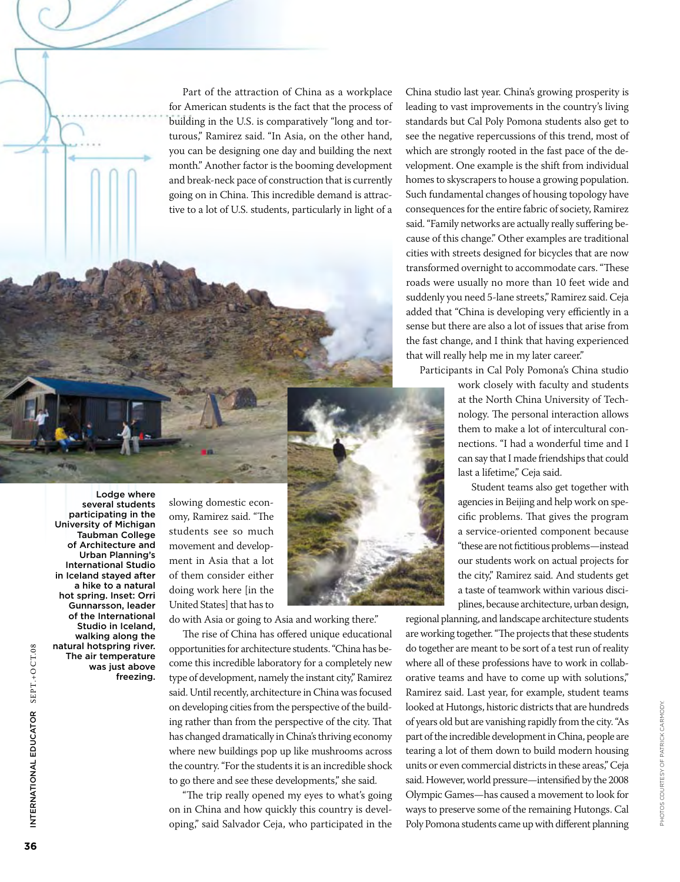Part of the attraction of China as a workplace for American students is the fact that the process of building in the U.S. is comparatively "long and torturous," Ramirez said. "In Asia, on the other hand, you can be designing one day and building the next month." Another factor is the booming development and break-neck pace of construction that is currently going on in China. This incredible demand is attractive to a lot of U.S. students, particularly in light of a

do with Asia or going to Asia and working there."

slowing domestic economy, Ramirez said. "The students see so much movement and development in Asia that a lot of them consider either doing work here [in the United States] that has to

The rise of China has offered unique educational opportunities for architecture students. "China has become this incredible laboratory for a completely new type of development, namely the instant city," Ramirez said. Until recently, architecture in China was focused on developing cities from the perspective of the building rather than from the perspective of the city. That has changed dramatically in China's thriving economy where new buildings pop up like mushrooms across the country. "For the students it is an incredible shock to go there and see these developments," she said.

"The trip really opened my eyes to what's going on in China and how quickly this country is developing," said Salvador Ceja, who participated in the China studio last year. China's growing prosperity is leading to vast improvements in the country's living standards but Cal Poly Pomona students also get to see the negative repercussions of this trend, most of which are strongly rooted in the fast pace of the development. One example is the shift from individual homes to skyscrapers to house a growing population. Such fundamental changes of housing topology have consequences for the entire fabric of society, Ramirez said. "Family networks are actually really suffering because of this change." Other examples are traditional cities with streets designed for bicycles that are now transformed overnight to accommodate cars. "These roads were usually no more than 10 feet wide and suddenly you need 5-lane streets," Ramirez said. Ceja added that "China is developing very efficiently in a sense but there are also a lot of issues that arise from the fast change, and I think that having experienced that will really help me in my later career."

Participants in Cal Poly Pomona's China studio

work closely with faculty and students at the North China University of Technology. The personal interaction allows them to make a lot of intercultural connections. "I had a wonderful time and I can say that I made friendships that could last a lifetime," Ceja said.

Student teams also get together with agencies in Beijing and help work on specific problems. That gives the program a service-oriented component because "these are not fictitious problems—instead our students work on actual projects for the city," Ramirez said. And students get a taste of teamwork within various disciplines, because architecture, urban design,

regional planning, and landscape architecture students are working together. "The projects that these students do together are meant to be sort of a test run of reality where all of these professions have to work in collaborative teams and have to come up with solutions," Ramirez said. Last year, for example, student teams looked at Hutongs, historic districts that are hundreds of years old but are vanishing rapidly from the city. "As part of the incredible development in China, people are tearing a lot of them down to build modern housing units or even commercial districts in these areas," Ceja said. However, world pressure—intensified by the 2008 Olympic Games—has caused a movement to look for ways to preserve some of the remaining Hutongs. Cal Poly Pomona students came up with different planning

Photos courtesy of Patrick Carmody.

PHOTOS COURTESY OF PATRICK CARMODY.

Lodge where several students participating in the University of Michigan Taubman College of Architecture and Urban Planning's International Studio in Iceland stayed after a hike to a natural hot spring. Inset: Orri Gunnarsson, leader of the International Studio in Iceland, walking along the natural hotspring river. The air temperature was just above freezing.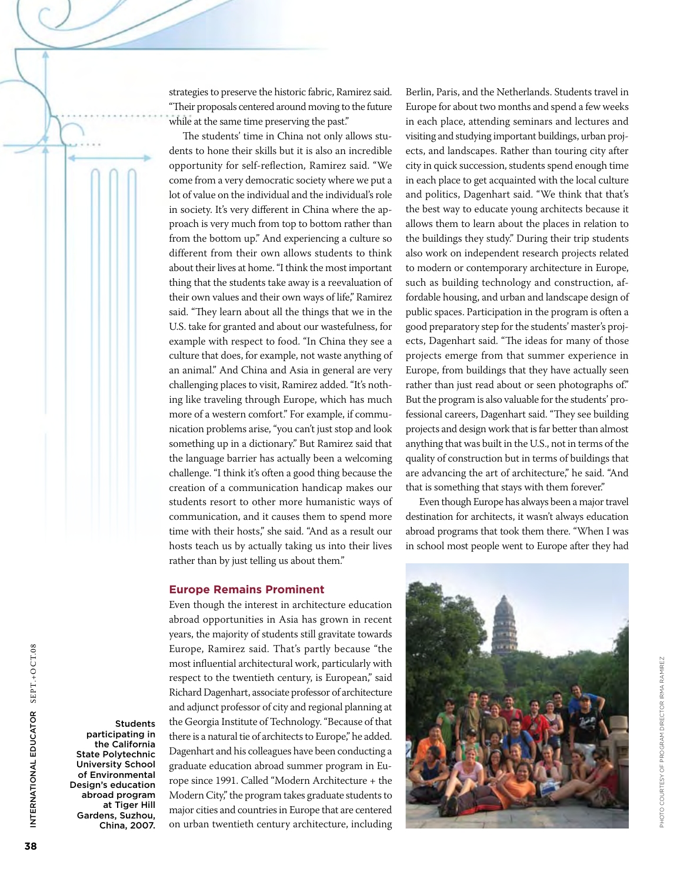strategies to preserve the historic fabric, Ramirez said. "Their proposals centered around moving to the future while at the same time preserving the past."

The students' time in China not only allows students to hone their skills but it is also an incredible opportunity for self-reflection, Ramirez said. "We come from a very democratic society where we put a lot of value on the individual and the individual's role in society. It's very different in China where the approach is very much from top to bottom rather than from the bottom up." And experiencing a culture so different from their own allows students to think about their lives at home. "I think the most important thing that the students take away is a reevaluation of their own values and their own ways of life," Ramirez said. "They learn about all the things that we in the U.S. take for granted and about our wastefulness, for example with respect to food. "In China they see a culture that does, for example, not waste anything of an animal." And China and Asia in general are very challenging places to visit, Ramirez added. "It's nothing like traveling through Europe, which has much more of a western comfort." For example, if communication problems arise, "you can't just stop and look something up in a dictionary." But Ramirez said that the language barrier has actually been a welcoming challenge. "I think it's often a good thing because the creation of a communication handicap makes our students resort to other more humanistic ways of communication, and it causes them to spend more time with their hosts," she said. "And as a result our hosts teach us by actually taking us into their lives rather than by just telling us about them."

#### **Europe Remains Prominent**

Even though the interest in architecture education abroad opportunities in Asia has grown in recent years, the majority of students still gravitate towards Europe, Ramirez said. That's partly because "the most influential architectural work, particularly with respect to the twentieth century, is European," said Richard Dagenhart, associate professor of architecture and adjunct professor of city and regional planning at the Georgia Institute of Technology. "Because of that there is a natural tie of architects to Europe," he added. Dagenhart and his colleagues have been conducting a graduate education abroad summer program in Europe since 1991. Called "Modern Architecture + the Modern City," the program takes graduate students to major cities and countries in Europe that are centered on urban twentieth century architecture, including

Berlin, Paris, and the Netherlands. Students travel in Europe for about two months and spend a few weeks in each place, attending seminars and lectures and visiting and studying important buildings, urban projects, and landscapes. Rather than touring city after city in quick succession, students spend enough time in each place to get acquainted with the local culture and politics, Dagenhart said. "We think that that's the best way to educate young architects because it allows them to learn about the places in relation to the buildings they study." During their trip students also work on independent research projects related to modern or contemporary architecture in Europe, such as building technology and construction, affordable housing, and urban and landscape design of public spaces. Participation in the program is often a good preparatory step for the students' master's projects, Dagenhart said. "The ideas for many of those projects emerge from that summer experience in Europe, from buildings that they have actually seen rather than just read about or seen photographs of." But the program is also valuable for the students' professional careers, Dagenhart said. "They see building projects and design work that is far better than almost anything that was built in the U.S., not in terms of the quality of construction but in terms of buildings that are advancing the art of architecture," he said. "And that is something that stays with them forever."

Even though Europe has always been a major travel destination for architects, it wasn't always education abroad programs that took them there. "When I was in school most people went to Europe after they had



Students participating in the California State Polytechnic University School of Environmental Design's education abroad program at Tiger Hill Gardens, Suzhou,

International Educ

INTERNATIONAL EDUCATOR SEPT.+OCT.08

ator SEPT.+O CT.08